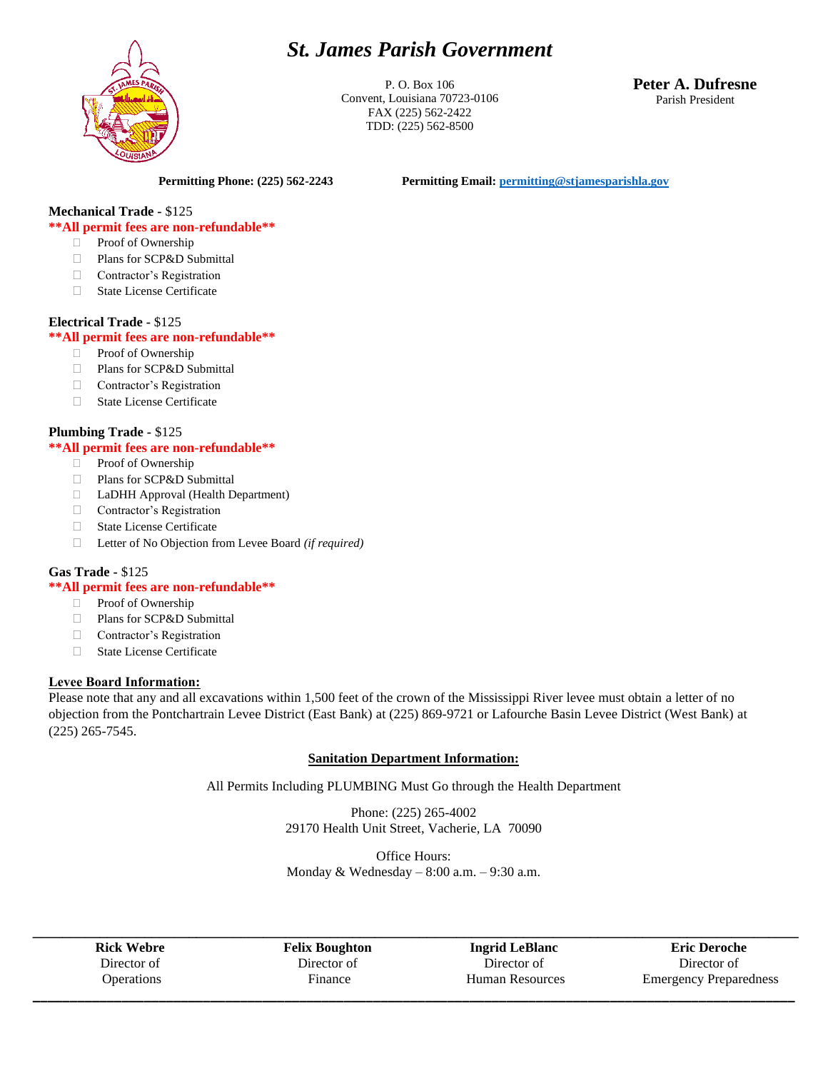# *St. James Parish Government*



P. O. Box 106 Convent, Louisiana 70723-0106 FAX (225) 562-2422 TDD: (225) 562-8500

**Peter A. Dufresne** Parish President

**Permitting Phone: (225) 562-2243 Permitting Email[: permitting@stjamesparishla.gov](mailto:permitting@stjamesparishla.gov)**

# **Mechanical Trade -** \$125

#### **\*\*All permit fees are non-refundable\*\***

- **Proof of Ownership**
- □ Plans for SCP&D Submittal
- Contractor's Registration
- □ State License Certificate

#### **Electrical Trade -** \$125

#### **\*\*All permit fees are non-refundable\*\***

- **Proof of Ownership**
- Plans for SCP&D Submittal
- Contractor's Registration
- State License Certificate

#### **Plumbing Trade -** \$125

#### **\*\*All permit fees are non-refundable\*\***

- **Proof of Ownership**
- □ Plans for SCP&D Submittal
- LaDHH Approval (Health Department)
- Contractor's Registration
- State License Certificate
- Letter of No Objection from Levee Board *(if required)*

## **Gas Trade -** \$125

#### **\*\*All permit fees are non-refundable\*\***

- **Proof of Ownership**
- Plans for SCP&D Submittal
- Contractor's Registration
- □ State License Certificate

#### **Levee Board Information:**

Please note that any and all excavations within 1,500 feet of the crown of the Mississippi River levee must obtain a letter of no objection from the Pontchartrain Levee District (East Bank) at (225) 869-9721 or Lafourche Basin Levee District (West Bank) at (225) 265-7545.

## **Sanitation Department Information:**

All Permits Including PLUMBING Must Go through the Health Department

Phone: (225) 265-4002 29170 Health Unit Street, Vacherie, LA 70090

Office Hours: Monday & Wednesday  $-8:00$  a.m.  $-9:30$  a.m.

| <b>Rick Webre</b> | <b>Felix Boughton</b> | <b>Ingrid LeBlanc</b> | <b>Eric Deroche</b>           |
|-------------------|-----------------------|-----------------------|-------------------------------|
| Director of       | Director of           | Director of           | Director of                   |
| <b>Operations</b> | Finance               | Human Resources       | <b>Emergency Preparedness</b> |

**Ingrid LeBlanc** Director of Human Resources **\_\_\_\_\_\_\_\_\_\_\_\_\_\_\_\_\_\_\_\_\_\_\_\_\_\_\_\_\_\_\_\_\_\_\_\_\_\_\_\_\_\_\_\_\_\_\_\_\_\_\_\_\_\_\_\_\_\_\_\_\_\_\_\_\_\_\_\_\_\_\_\_\_\_\_\_\_\_\_\_\_\_\_\_\_\_\_\_\_\_\_\_\_\_\_\_\_\_\_\_\_\_\_**